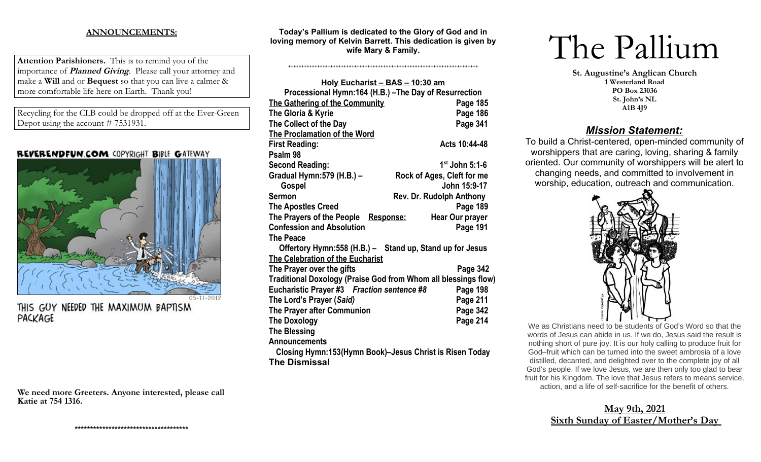## **ANNOUNCEMENTS:**

**Attention Parishioners.** This is to remind you of the importance of **Planned Giving**. Please call your attorney and make a **Will** and or **Bequest** so that you can live a calmer & more comfortable life here on Earth. Thank you!

Recycling for the CLB could be dropped off at the Ever-Green Depot using the account # 7531931.

## **REVERENDFUN COM COPYRIGHT BIBLE GATEWAY**



THIS GUY NEEDED THE MAXIMUM BAPTISM PACKAGE

**We need more Greeters. Anyone interested, please call Katie at 754 1316.** 

**Today's Pallium is dedicated to the Glory of God and in loving memory of Kelvin Barrett. This dedication is given by wife Mary & Family.** 

++++++++++++++++++++++++++++++++++++++++++++++++++++++++++++++++++++++++

| Holy Eucharist - BAS - 10:30 am                                |                            |  |
|----------------------------------------------------------------|----------------------------|--|
| Processional Hymn:164 (H.B.) - The Day of Resurrection         |                            |  |
| The Gathering of the Community                                 | Page 185                   |  |
| The Gloria & Kyrie                                             | Page 186                   |  |
| The Collect of the Day                                         | Page 341                   |  |
| <b>The Proclamation of the Word</b>                            |                            |  |
| <b>First Reading:</b>                                          | Acts 10:44-48              |  |
| Psalm 98                                                       |                            |  |
| <b>Second Reading:</b>                                         | $1st$ John 5:1-6           |  |
| Gradual Hymn: 579 (H.B.) -                                     | Rock of Ages, Cleft for me |  |
| Gospel                                                         | John 15:9-17               |  |
| <b>Sermon</b>                                                  | Rev. Dr. Rudolph Anthony   |  |
| <b>The Apostles Creed</b>                                      | Page 189                   |  |
| The Prayers of the People<br>Response:                         | <b>Hear Our prayer</b>     |  |
| <b>Confession and Absolution</b>                               | Page 191                   |  |
| The Peace                                                      |                            |  |
| Offertory Hymn: 558 (H.B.) - Stand up, Stand up for Jesus      |                            |  |
| The Celebration of the Eucharist                               |                            |  |
| The Prayer over the gifts                                      | Page 342                   |  |
| Traditional Doxology (Praise God from Whom all blessings flow) |                            |  |
| Eucharistic Prayer #3 Fraction sentence #8                     | Page 198                   |  |
| The Lord's Prayer (Said)                                       | Page 211                   |  |
| The Prayer after Communion                                     | Page 342                   |  |
| <b>The Doxology</b>                                            | Page 214                   |  |
| <b>The Blessing</b>                                            |                            |  |
| <b>Announcements</b>                                           |                            |  |
| Closing Hymn:153(Hymn Book)-Jesus Christ is Risen Today        |                            |  |
| <b>The Dismissal</b>                                           |                            |  |

# The Pallium

**St. Augustine's Anglican Church 1 Westerland Road PO Box 23036 St. John's NL A1B 4J9**

## *Mission Statement:*

To build a Christ-centered, open-minded community of worshippers that are caring, loving, sharing & family oriented. Our community of worshippers will be alert to changing needs, and committed to involvement in worship, education, outreach and communication.



We as Christians need to be students of God's Word so that the words of Jesus can abide in us. If we do, Jesus said the result is nothing short of pure joy. It is our holy calling to produce fruit for God–fruit which can be turned into the sweet ambrosia of a love distilled, decanted, and delighted over to the complete joy of all God's people. If we love Jesus, we are then only too glad to bear fruit for his Kingdom. The love that Jesus refers to means service, action, and a life of self-sacrifice for the benefit of others.

# **May 9th, 2021 Sixth Sunday of Easter/Mother's Day**

**\*\*\*\*\*\*\*\*\*\*\*\*\*\*\*\*\*\*\*\*\*\*\*\*\*\*\*\*\*\*\*\*\*\*\*\*\***